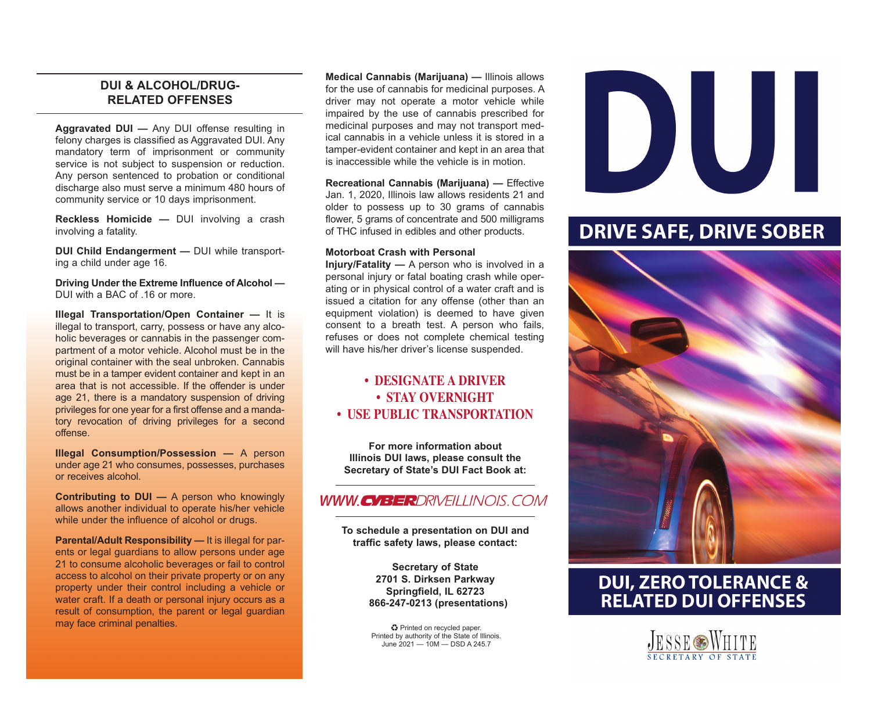### **DUI & ALCOHOL/DRUG-RELATED OFFENSES**

**Aggravated DUI —** Any DUI offense resulting in felony charges is classified as Aggravated DUI. Any mandatory term of imprisonment or community service is not subject to suspension or reduction. Any person sentenced to probation or conditional discharge also must serve a minimum 480 hours of community service or 10 days imprisonment.

**Reckless Homicide —** DUI involving a crash involving a fatality.

**DUI Child Endangerment —** DUI while transporting a child under age 16.

**Driving Under the Extreme Influence of Alcohol —**  DUI with a BAC of 16 or more.

**Illegal Transportation/Open Container —** It is illegal to transport, carry, possess or have any alcoholic beverages or cannabis in the passenger compartment of a motor vehicle. Alcohol must be in the original container with the seal unbroken. Cannabis must be in a tamper evident container and kept in an area that is not accessible. If the offender is under age 21, there is a mandatory suspension of driving privileges for one year for a first offense and a mandatory revocation of driving privileges for a second offense.

**Illegal Consumption/Possession —** A person under age 21 who consumes, possesses, purchases or receives alcohol.

**Contributing to DUI —** A person who knowingly allows another individual to operate his/her vehicle while under the influence of alcohol or drugs.

**Parental/Adult Responsibility —** It is illegal for parents or legal guardians to allow persons under age 21 to consume alcoholic beverages or fail to control access to alcohol on their private property or on any property under their control including a vehicle or water craft. If a death or personal injury occurs as a result of consumption, the parent or legal guardian may face criminal penalties.

**Medical Cannabis (Marijuana) —** Illinois allows for the use of cannabis for medicinal purposes. A driver may not operate a motor vehicle while impaired by the use of cannabis prescribed for medicinal purposes and may not transport medical cannabis in a vehicle unless it is stored in a tamper-evident container and kept in an area that is inaccessible while the vehicle is in motion.

**Recreational Cannabis (Marijuana) —** Effective Jan. 1, 2020, Illinois law allows residents 21 and older to possess up to 30 grams of cannabis flower, 5 grams of concentrate and 500 milligrams of THC infused in edibles and other products.

### **Motorboat Crash with Personal**

**Injury/Fatality —** A person who is involved in a personal injury or fatal boating crash while operating or in physical control of a water craft and is issued a citation for any offense (other than an equipment violation) is deemed to have given consent to a breath test. A person who fails, refuses or does not complete chemical testing will have his/her driver's license suspended.

### **• DESIGNATE A DRIVER • STAY OVERNIGHT • USE PUBLIC TRANSPORTATION**

**For more information about Illinois DUI laws, please consult the Secretary of State's DUI Fact Book at:** 

### **WWW.CYBERDRIVEILLINOIS.COM**

**To schedule a presentation on DUI and traffic safety laws, please contact:** 

> **Secretary of State 2701 S. Dirksen Parkway Springfield, IL 62723 866-247-0213 (presentations)**

♻ Printed on recycled paper. Printed by authority of the State of Illinois. June 2021 — 10M — DSD A 245.7



## **DRIVE SAFE, DRIVE SOBER**



# **DUI, ZERO TOLERANCE &<br>RELATED DUI OFFENSES**